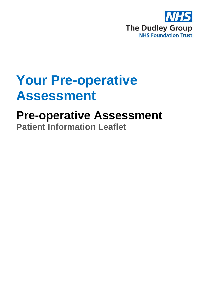

# **Your Pre-operative Assessment**

# **Pre-operative Assessment Patient Information Leaflet**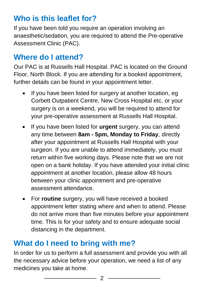## **Who is this leaflet for?**

If you have been told you require an operation involving an anaesthetic/sedation, you are required to attend the Pre-operative Assessment Clinic (PAC).

## **Where do I attend?**

Our PAC is at Russells Hall Hospital. PAC is located on the Ground Floor, North Block. If you are attending for a booked appointment, further details can be found in your appointment letter.

- If you have been listed for surgery at another location, eg Corbett Outpatient Centre, New Cross Hospital etc, or your surgery is on a weekend, you will be required to attend for your pre-operative assessment at Russells Hall Hospital.
- If you have been listed for **urgent** surgery, you can attend any time between **8am - 5pm, Monday to Friday**, directly after your appointment at Russells Hall Hospital with your surgeon. If you are unable to attend immediately, you must return within five working days. Please note that we are not open on a bank holiday. If you have attended your initial clinic appointment at another location, please allow 48 hours between your clinic appointment and pre-operative assessment attendance.
- For **routine** surgery, you will have received a booked appointment letter stating where and when to attend. Please do not arrive more than five minutes before your appointment time. This is for your safety and to ensure adequate social distancing in the department.

## **What do I need to bring with me?**

In order for us to perform a full assessment and provide you with all the necessary advice before your operation, we need a list of any medicines you take at home.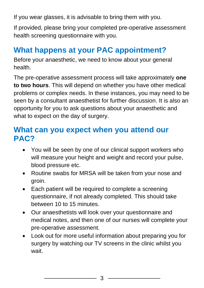If you wear glasses, it is advisable to bring them with you.

If provided, please bring your completed pre-operative assessment health screening questionnaire with you.

## **What happens at your PAC appointment?**

Before your anaesthetic, we need to know about your general health.

The pre-operative assessment process will take approximately **one to two hours**. This will depend on whether you have other medical problems or complex needs. In these instances, you may need to be seen by a consultant anaesthetist for further discussion. It is also an opportunity for you to ask questions about your anaesthetic and what to expect on the day of surgery.

## **What can you expect when you attend our PAC?**

- You will be seen by one of our clinical support workers who will measure your height and weight and record your pulse. blood pressure etc.
- Routine swabs for MRSA will be taken from your nose and groin.
- Each patient will be required to complete a screening questionnaire, if not already completed. This should take between 10 to 15 minutes.
- Our anaesthetists will look over your questionnaire and medical notes, and then one of our nurses will complete your pre-operative assessment.
- Look out for more useful information about preparing you for surgery by watching our TV screens in the clinic whilst you wait.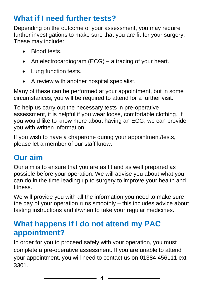## **What if I need further tests?**

Depending on the outcome of your assessment, you may require further investigations to make sure that you are fit for your surgery. These may include:

- Blood tests.
- An electrocardiogram (ECG) a tracing of your heart.
- Lung function tests.
- A review with another hospital specialist.

Many of these can be performed at your appointment, but in some circumstances, you will be required to attend for a further visit.

To help us carry out the necessary tests in pre-operative assessment, it is helpful if you wear loose, comfortable clothing. If you would like to know more about having an ECG, we can provide you with written information.

If you wish to have a chaperone during your appointment/tests, please let a member of our staff know.

## **Our aim**

Our aim is to ensure that you are as fit and as well prepared as possible before your operation. We will advise you about what you can do in the time leading up to surgery to improve your health and fitness.

We will provide you with all the information you need to make sure the day of your operation runs smoothly – this includes advice about fasting instructions and if/when to take your regular medicines.

## **What happens if I do not attend my PAC appointment?**

In order for you to proceed safely with your operation, you must complete a pre-operative assessment. If you are unable to attend your appointment, you will need to contact us on 01384 456111 ext 3301.